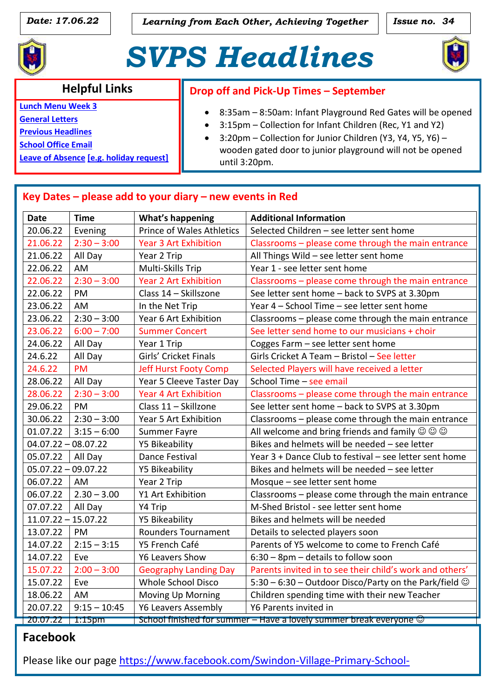*Date:* 17.06.22 *Learning from Each Other, Achieving Together* **| | Issue no. 34** 



# *SVPS Headlines*



#### **Helpful Links**

**Lunch [Menu Week 3](http://www.swindonvillage.co.uk/Uploads/SVPS/Newsletters/Menu%20-%20wef%2017th%20January%202022%20-%20amended.pdf)**

**[General Letters](http://www.swindonvillage.co.uk/parents/letters.aspx)**

**[Previous Headlines](http://www.swindonvillage.co.uk/parents/newsletter.aspx)**

**[School Office Email](mailto:admin@swindonvillage.gloucs.sch.uk)**

**Leave of Absence [e.g. holiday request]**

#### **Drop off and Pick-Up Times – September**

- 8:35am 8:50am: Infant Playground Red Gates will be opened
- 3:15pm Collection for Infant Children (Rec, Y1 and Y2)
- 3:20pm Collection for Junior Children (Y3, Y4, Y5, Y6) wooden gated door to junior playground will not be opened until 3:20pm.

| <b>Date</b>           | <b>Time</b>    | <b>What's happening</b>                                                    | <b>Additional Information</b>                                        |
|-----------------------|----------------|----------------------------------------------------------------------------|----------------------------------------------------------------------|
| 20.06.22              | Evening        | <b>Prince of Wales Athletics</b>                                           | Selected Children - see letter sent home                             |
| 21.06.22              | $2:30 - 3:00$  | <b>Year 3 Art Exhibition</b>                                               | Classrooms - please come through the main entrance                   |
| 21.06.22              | All Day        | Year 2 Trip                                                                | All Things Wild - see letter sent home                               |
| 22.06.22              | AM             | Multi-Skills Trip                                                          | Year 1 - see letter sent home                                        |
| 22.06.22              | $2:30 - 3:00$  | <b>Year 2 Art Exhibition</b>                                               | Classrooms - please come through the main entrance                   |
| 22.06.22              | PM             | Class 14 - Skillszone                                                      | See letter sent home - back to SVPS at 3.30pm                        |
| 23.06.22              | AM             | In the Net Trip                                                            | Year 4 - School Time - see letter sent home                          |
| 23.06.22              | $2:30 - 3:00$  | Year 6 Art Exhibition                                                      | Classrooms - please come through the main entrance                   |
| 23.06.22              | $6:00 - 7:00$  | <b>Summer Concert</b>                                                      | See letter send home to our musicians + choir                        |
| 24.06.22              | All Day        | Year 1 Trip                                                                | Cogges Farm - see letter sent home                                   |
| 24.6.22               | All Day        | Girls' Cricket Finals                                                      | Girls Cricket A Team - Bristol - See letter                          |
| 24.6.22               | <b>PM</b>      | <b>Jeff Hurst Footy Comp</b>                                               | Selected Players will have received a letter                         |
| 28.06.22              | All Day        | Year 5 Cleeve Taster Day                                                   | School Time - see email                                              |
| 28.06.22              | $2:30 - 3:00$  | <b>Year 4 Art Exhibition</b>                                               | Classrooms - please come through the main entrance                   |
| 29.06.22              | PM             | Class 11 - Skillzone                                                       | See letter sent home - back to SVPS at 3.30pm                        |
| 30.06.22              | $2:30 - 3:00$  | Year 5 Art Exhibition                                                      | Classrooms - please come through the main entrance                   |
| 01.07.22              | $3:15 - 6:00$  | <b>Summer Fayre</b>                                                        | All welcome and bring friends and family $\circledcirc \circledcirc$ |
| $04.07.22 - 08.07.22$ |                | <b>Y5 Bikeability</b>                                                      | Bikes and helmets will be needed - see letter                        |
| 05.07.22              | All Day        | Dance Festival                                                             | Year 3 + Dance Club to festival - see letter sent home               |
| $05.07.22 - 09.07.22$ |                | Y5 Bikeability                                                             | Bikes and helmets will be needed - see letter                        |
| 06.07.22              | AM             | Year 2 Trip                                                                | Mosque - see letter sent home                                        |
| 06.07.22              | $2.30 - 3.00$  | Y1 Art Exhibition                                                          | Classrooms - please come through the main entrance                   |
| 07.07.22              | All Day        | Y4 Trip                                                                    | M-Shed Bristol - see letter sent home                                |
| $11.07.22 - 15.07.22$ |                | Y5 Bikeability                                                             | Bikes and helmets will be needed                                     |
| 13.07.22              | PM             | <b>Rounders Tournament</b>                                                 | Details to selected players soon                                     |
| 14.07.22              | $2:15 - 3:15$  | Y5 French Café                                                             | Parents of Y5 welcome to come to French Café                         |
| 14.07.22              | Eve            | Y6 Leavers Show                                                            | 6:30 - 8pm - details to follow soon                                  |
| 15.07.22              | $2:00 - 3:00$  | <b>Geography Landing Day</b>                                               | Parents invited in to see their child's work and others'             |
| 15.07.22              | Eve            | Whole School Disco                                                         | 5:30 – 6:30 – Outdoor Disco/Party on the Park/field $\odot$          |
| 18.06.22              | AM             | <b>Moving Up Morning</b>                                                   | Children spending time with their new Teacher                        |
| 20.07.22              | $9:15 - 10:45$ | <b>Y6 Leavers Assembly</b>                                                 | Y6 Parents invited in                                                |
| 20.07.22              | $1:15$ pm      | School finished for summer $-$ Have a lovely summer break everyone $\odot$ |                                                                      |

### **Facebook**

[2365704203704475](https://www.facebook.com/Swindon-Village-Primary-School-2365704203704475)

Please like our page [https://www.facebook.com/Swindon-Village-Primary-School-](https://www.facebook.com/Swindon-Village-Primary-School-2365704203704475)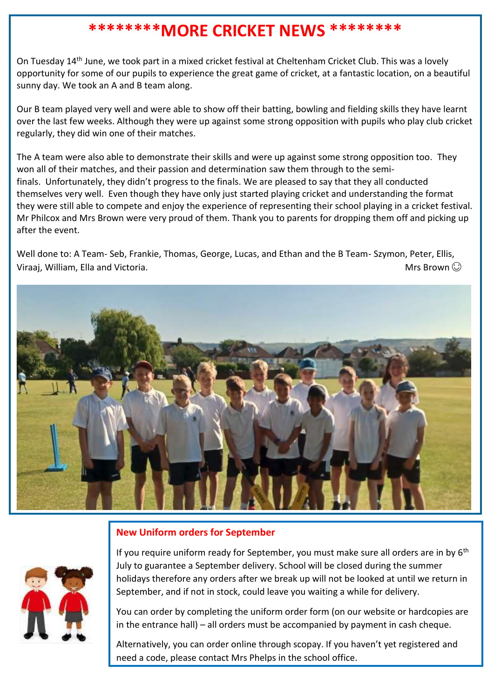### **\*\*\*\*\*\*\*\*MORE CRICKET NEWS \*\*\*\*\*\*\*\***

On Tuesday 14th June, we took part in a mixed cricket festival at Cheltenham Cricket Club. This was a lovely opportunity for some of our pupils to experience the great game of cricket, at a fantastic location, on a beautiful sunny day. We took an A and B team along.

Our B team played very well and were able to show off their batting, bowling and fielding skills they have learnt over the last few weeks. Although they were up against some strong opposition with pupils who play club cricket regularly, they did win one of their matches.

The A team were also able to demonstrate their skills and were up against some strong opposition too. They won all of their matches, and their passion and determination saw them through to the semifinals. Unfortunately, they didn't progress to the finals. We are pleased to say that they all conducted themselves very well. Even though they have only just started playing cricket and understanding the format they were still able to compete and enjoy the experience of representing their school playing in a cricket festival. Mr Philcox and Mrs Brown were very proud of them. Thank you to parents for dropping them off and picking up after the event.

Well done to: A Team- Seb, Frankie, Thomas, George, Lucas, and Ethan and the B Team- Szymon, Peter, Ellis, Viraaj, William, Ella and Victoria.  $\Box$  Mrs Brown  $\odot$ 



#### **New Uniform orders for September**



If you require uniform ready for September, you must make sure all orders are in by 6<sup>th</sup> July to guarantee a September delivery. School will be closed during the summer holidays therefore any orders after we break up will not be looked at until we return in September, and if not in stock, could leave you waiting a while for delivery.

You can order by completing the uniform order form (on our website or hardcopies are in the entrance hall) – all orders must be accompanied by payment in cash cheque.

Alternatively, you can order online through scopay. If you haven't yet registered and need a code, please contact Mrs Phelps in the school office.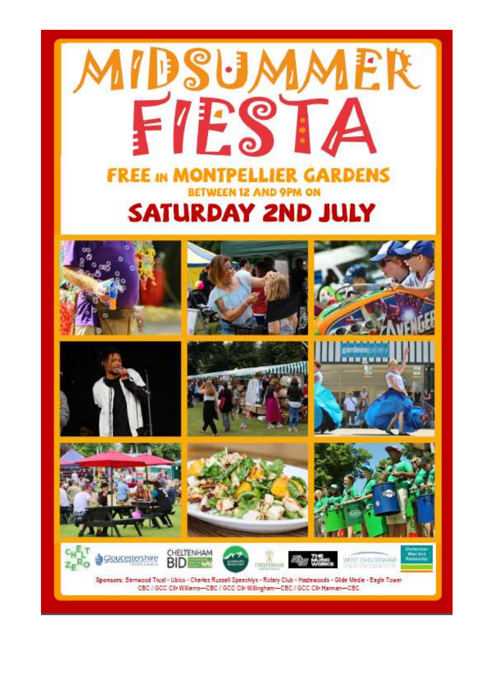